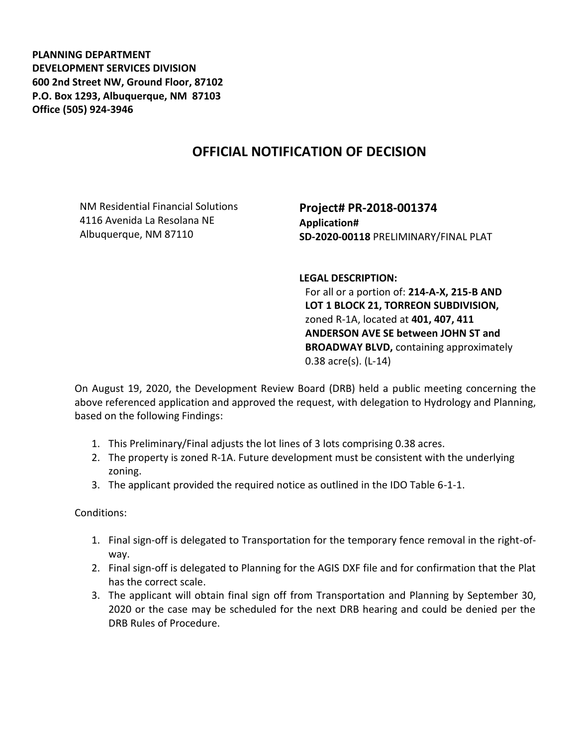**PLANNING DEPARTMENT DEVELOPMENT SERVICES DIVISION 600 2nd Street NW, Ground Floor, 87102 P.O. Box 1293, Albuquerque, NM 87103 Office (505) 924-3946** 

## **OFFICIAL NOTIFICATION OF DECISION**

NM Residential Financial Solutions 4116 Avenida La Resolana NE Albuquerque, NM 87110

**Project# PR-2018-001374 Application# SD-2020-00118** PRELIMINARY/FINAL PLAT

**LEGAL DESCRIPTION:**

For all or a portion of: **214-A-X, 215-B AND LOT 1 BLOCK 21, TORREON SUBDIVISION,**  zoned R-1A, located at **401, 407, 411 ANDERSON AVE SE between JOHN ST and BROADWAY BLVD,** containing approximately 0.38 acre(s). (L-14)

On August 19, 2020, the Development Review Board (DRB) held a public meeting concerning the above referenced application and approved the request, with delegation to Hydrology and Planning, based on the following Findings:

- 1. This Preliminary/Final adjusts the lot lines of 3 lots comprising 0.38 acres.
- 2. The property is zoned R-1A. Future development must be consistent with the underlying zoning.
- 3. The applicant provided the required notice as outlined in the IDO Table 6-1-1.

Conditions:

- 1. Final sign-off is delegated to Transportation for the temporary fence removal in the right-ofway.
- 2. Final sign-off is delegated to Planning for the AGIS DXF file and for confirmation that the Plat has the correct scale.
- 3. The applicant will obtain final sign off from Transportation and Planning by September 30, 2020 or the case may be scheduled for the next DRB hearing and could be denied per the DRB Rules of Procedure.